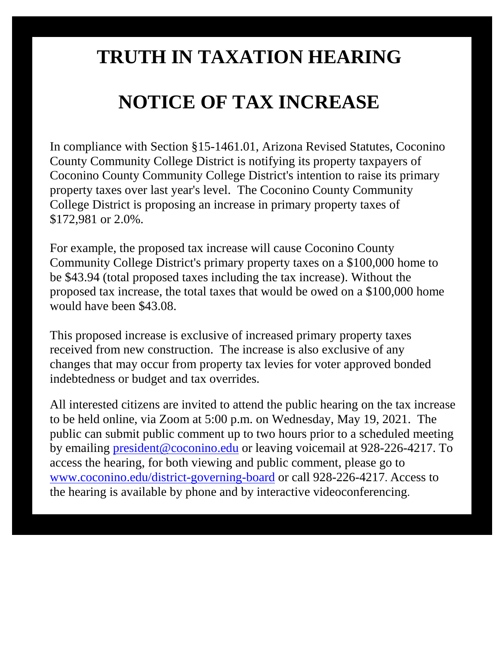## **TRUTH IN TAXATION HEARING**

## **NOTICE OF TAX INCREASE**

In compliance with Section §15-1461.01, Arizona Revised Statutes, Coconino County Community College District is notifying its property taxpayers of Coconino County Community College District's intention to raise its primary property taxes over last year's level. The Coconino County Community College District is proposing an increase in primary property taxes of \$172,981 or 2.0%.

For example, the proposed tax increase will cause Coconino County Community College District's primary property taxes on a \$100,000 home to be \$43.94 (total proposed taxes including the tax increase). Without the proposed tax increase, the total taxes that would be owed on a \$100,000 home would have been \$43.08.

This proposed increase is exclusive of increased primary property taxes received from new construction. The increase is also exclusive of any changes that may occur from property tax levies for voter approved bonded indebtedness or budget and tax overrides.

All interested citizens are invited to attend the public hearing on the tax increase to be held online, via Zoom at 5:00 p.m. on Wednesday, May 19, 2021. The public can submit public comment up to two hours prior to a scheduled meeting by emailing [president@coconino.edu](mailto:president@coconino.edu) or leaving voicemail at 928-226-4217. To access the hearing, for both viewing and public comment, please go to [www.coconino.edu/district-governing-board](http://www.coconino.edu/district-governing-board) or call 928-226-4217. Access to the hearing is available by phone and by interactive videoconferencing.